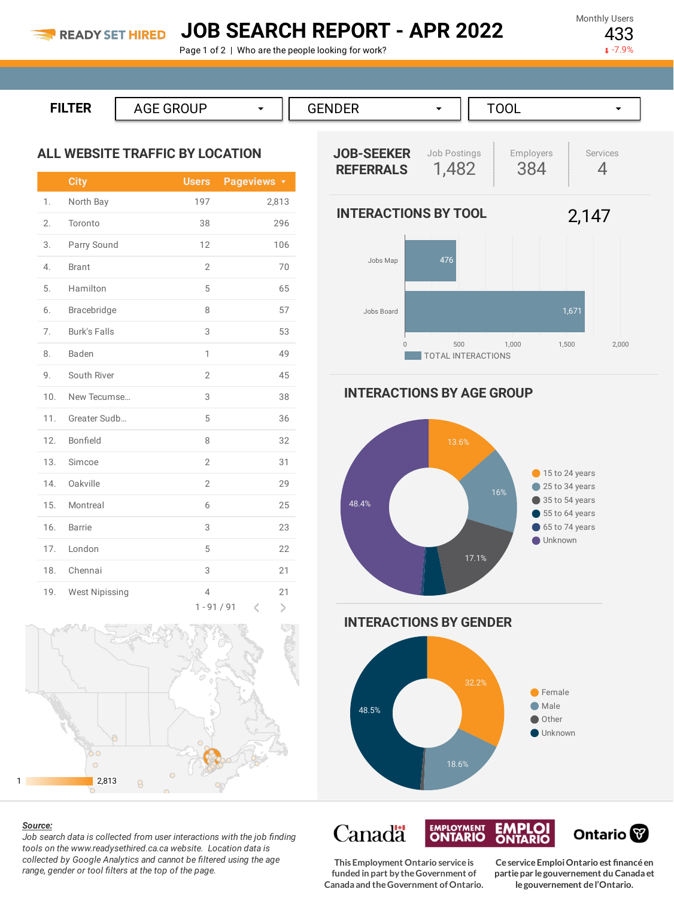## **JOB SEARCH REPORT - APR 2022**

Page 1 of 2 | Who are the people looking for work?

Monthly Users 433

 $-7.9%$ 

| FU TED.<br>-- | . . |  |  |  |
|---------------|-----|--|--|--|
|               |     |  |  |  |

### **ALL WEBSITE TRAFFIC BY LOCATION**

|                  | <b>City</b>           | <b>Users</b>                    | Pageviews <b>v</b>                 |
|------------------|-----------------------|---------------------------------|------------------------------------|
| 1.               | North Bay             | 197                             | 2,813                              |
| 2.               | Toronto               | 38                              | 296                                |
| 3.               | Parry Sound           | 12                              | 106                                |
| $\overline{4}$ . | <b>Brant</b>          | $\overline{2}$                  | 70                                 |
| 5.               | Hamilton              | 5                               | 65                                 |
| 6.               | Bracebridge           | 8                               | 57                                 |
| 7.               | <b>Burk's Falls</b>   | 3                               | 53                                 |
| 8.               | Baden                 | 1                               | 49                                 |
| 9.               | South River           | $\overline{2}$                  | 45                                 |
| 10.              | New Tecumse           | 3                               | 38                                 |
| 11.              | Greater Sudb          | 5                               | 36                                 |
| 12.              | Bonfield              | 8                               | 32                                 |
| 13.              | Simcoe                | $\overline{2}$                  | 31                                 |
| 14.              | Oakville              | $\overline{2}$                  | 29                                 |
| 15.              | Montreal              | 6                               | 25                                 |
| 16.              | <b>Barrie</b>         | 3                               | 23                                 |
| 17.              | London                | 5                               | 22                                 |
| 18.              | Chennai               | 3                               | 21                                 |
| 19.              | <b>West Nipissing</b> | $\overline{4}$<br>$1 - 91 / 91$ | 21<br>$\,>\,$<br>$\acute{\text{}}$ |



#### *Source:*

*Job search data is collected from user interactions with the job finding tools on the www.readysethired.ca.ca website. Location data is collected by Google Analytics and cannot be filtered using the age range, gender or tool filters at the top of the page.*



**INTERACTIONS BY AGE GROUP**





**Canadä EMPLOYMENT**<br>**ONTARIO EMPLOI**<br>ONTARIO **This Employment Ontario serviceis funded in part by theGovernment of Canada and theGovernment ofOntario.**

**CeserviceEmploiOntario est financéen partiepar legouvernement du Canada et legouvernement del'Ontario.**

Ontario<sup>®</sup>